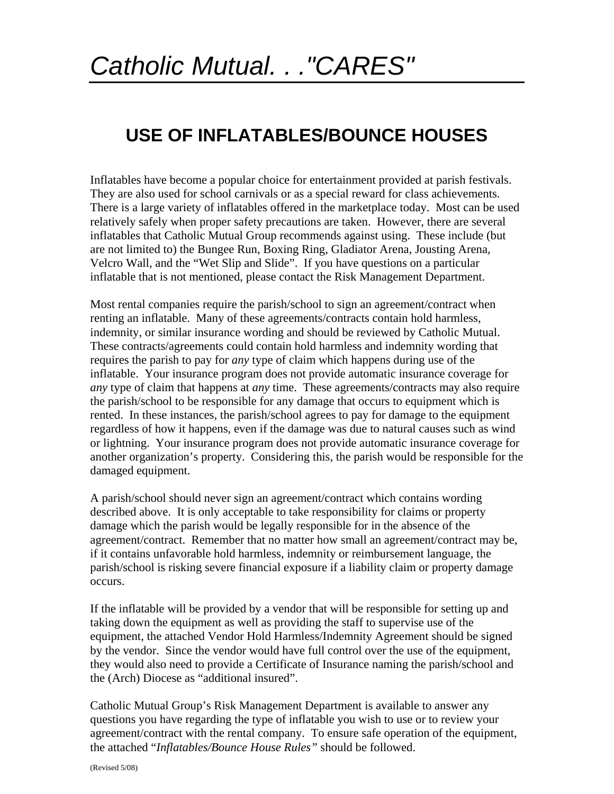## **USE OF INFLATABLES/BOUNCE HOUSES**

Inflatables have become a popular choice for entertainment provided at parish festivals. They are also used for school carnivals or as a special reward for class achievements. There is a large variety of inflatables offered in the marketplace today. Most can be used relatively safely when proper safety precautions are taken. However, there are several inflatables that Catholic Mutual Group recommends against using. These include (but are not limited to) the Bungee Run, Boxing Ring, Gladiator Arena, Jousting Arena, Velcro Wall, and the "Wet Slip and Slide". If you have questions on a particular inflatable that is not mentioned, please contact the Risk Management Department.

Most rental companies require the parish/school to sign an agreement/contract when renting an inflatable. Many of these agreements/contracts contain hold harmless, indemnity, or similar insurance wording and should be reviewed by Catholic Mutual. These contracts/agreements could contain hold harmless and indemnity wording that requires the parish to pay for *any* type of claim which happens during use of the inflatable. Your insurance program does not provide automatic insurance coverage for *any* type of claim that happens at *any* time. These agreements/contracts may also require the parish/school to be responsible for any damage that occurs to equipment which is rented. In these instances, the parish/school agrees to pay for damage to the equipment regardless of how it happens, even if the damage was due to natural causes such as wind or lightning. Your insurance program does not provide automatic insurance coverage for another organization's property. Considering this, the parish would be responsible for the damaged equipment.

A parish/school should never sign an agreement/contract which contains wording described above. It is only acceptable to take responsibility for claims or property damage which the parish would be legally responsible for in the absence of the agreement/contract. Remember that no matter how small an agreement/contract may be, if it contains unfavorable hold harmless, indemnity or reimbursement language, the parish/school is risking severe financial exposure if a liability claim or property damage occurs.

If the inflatable will be provided by a vendor that will be responsible for setting up and taking down the equipment as well as providing the staff to supervise use of the equipment, the attached Vendor Hold Harmless/Indemnity Agreement should be signed by the vendor. Since the vendor would have full control over the use of the equipment, they would also need to provide a Certificate of Insurance naming the parish/school and the (Arch) Diocese as "additional insured".

Catholic Mutual Group's Risk Management Department is available to answer any questions you have regarding the type of inflatable you wish to use or to review your agreement/contract with the rental company. To ensure safe operation of the equipment, the attached "*Inflatables/Bounce House Rules"* should be followed.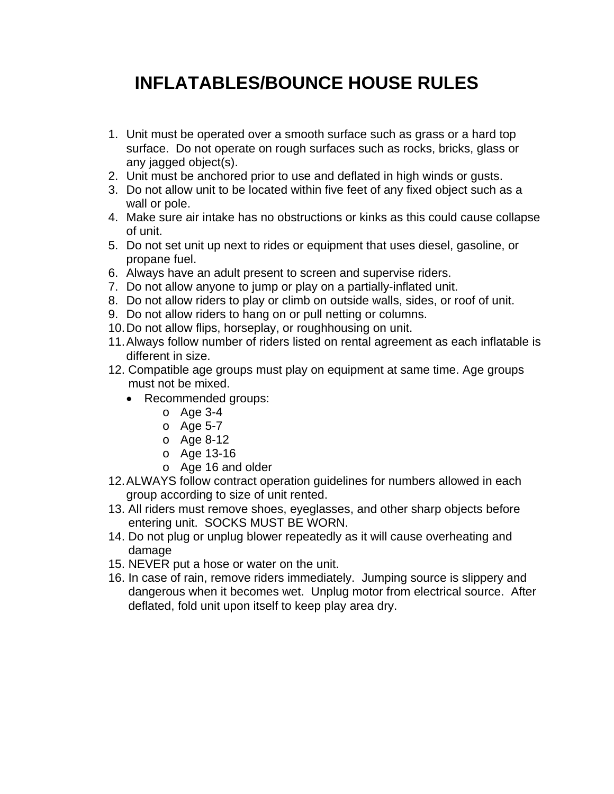## **INFLATABLES/BOUNCE HOUSE RULES**

- 1. Unit must be operated over a smooth surface such as grass or a hard top surface. Do not operate on rough surfaces such as rocks, bricks, glass or any jagged object(s).
- 2. Unit must be anchored prior to use and deflated in high winds or gusts.
- 3. Do not allow unit to be located within five feet of any fixed object such as a wall or pole.
- 4. Make sure air intake has no obstructions or kinks as this could cause collapse of unit.
- 5. Do not set unit up next to rides or equipment that uses diesel, gasoline, or propane fuel.
- 6. Always have an adult present to screen and supervise riders.
- 7. Do not allow anyone to jump or play on a partially-inflated unit.
- 8. Do not allow riders to play or climb on outside walls, sides, or roof of unit.
- 9. Do not allow riders to hang on or pull netting or columns.
- 10. Do not allow flips, horseplay, or roughhousing on unit.
- 11. Always follow number of riders listed on rental agreement as each inflatable is different in size.
- 12. Compatible age groups must play on equipment at same time. Age groups must not be mixed.
	- Recommended groups:
		- o Age 3-4
		- o Age 5-7
		- o Age 8-12
		- o Age 13-16
		- o Age 16 and older
- 12. ALWAYS follow contract operation guidelines for numbers allowed in each group according to size of unit rented.
- 13. All riders must remove shoes, eyeglasses, and other sharp objects before entering unit. SOCKS MUST BE WORN.
- 14. Do not plug or unplug blower repeatedly as it will cause overheating and damage
- 15. NEVER put a hose or water on the unit.
- 16. In case of rain, remove riders immediately. Jumping source is slippery and dangerous when it becomes wet. Unplug motor from electrical source. After deflated, fold unit upon itself to keep play area dry.